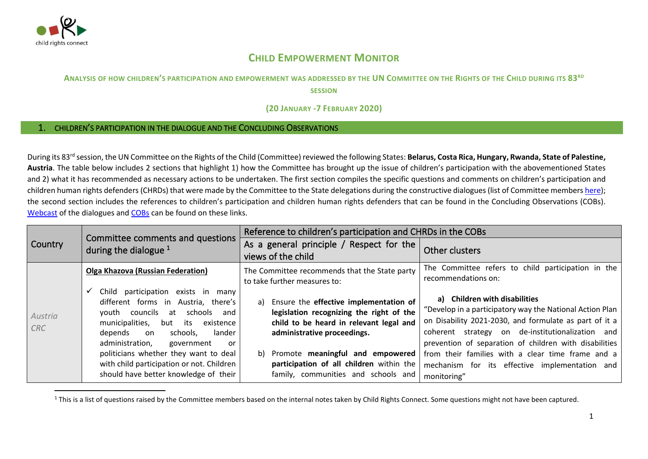

# **CHILD EMPOWERMENT MONITOR**

## ANALYSIS OF HOW CHILDREN'S PARTICIPATION AND EMPOWERMENT WAS ADDRESSED BY THE UN COMMITTEE ON THE RIGHTS OF THE CHILD DURING ITS 83RD

**SESSION**

### **(20 JANUARY -7 FEBRUARY 2020)**

## 1. CHILDREN'S PARTICIPATION IN THE DIALOGUE AND THE CONCLUDING OBSERVATIONS

During its 83<sup>rd</sup> session, the UN Committee on the Rights of the Child (Committee) reviewed the following States: **Belarus, Costa Rica, Hungary, Rwanda, State of Palestine, Austria**. The table below includes 2 sections that highlight 1) how the Committee has brought up the issue of children's participation with the abovementioned States and 2) what it has recommended as necessary actions to be undertaken. The first section compiles the specific questions and comments on children's participation and children human rights defenders (CHRDs) that were made by the Committee to the State delegations during the constructive dialogues (list of Committee members [here\)](http://www.ohchr.org/EN/HRBodies/CRC/Pages/Membership.aspx); the second section includes the references to children's participation and children human rights defenders that can be found in the Concluding Observations (COBs). [Webcast](http://webtv.un.org/meetings-events/human-rights-treaty-bodies/committee-on-the-rights-of-the-child/watch/consideration-of-rwanda-contd-2443rd-meeting-83rd-session-committee-on-the-rights-of-the-child/6127240885001/?term=) of the dialogues and [COBs](https://tbinternet.ohchr.org/_layouts/15/treatybodyexternal/SessionDetails1.aspx?SessionID=1323&Lang=en) can be found on these links.

|                       |                                                                                                                                                                                                                                                                                                                                                                             | Reference to children's participation and CHRDs in the COBs                                                                                                                                                                                                                                  |                                                                                                                                                                                                                                                                                                                                                                                         |
|-----------------------|-----------------------------------------------------------------------------------------------------------------------------------------------------------------------------------------------------------------------------------------------------------------------------------------------------------------------------------------------------------------------------|----------------------------------------------------------------------------------------------------------------------------------------------------------------------------------------------------------------------------------------------------------------------------------------------|-----------------------------------------------------------------------------------------------------------------------------------------------------------------------------------------------------------------------------------------------------------------------------------------------------------------------------------------------------------------------------------------|
| <b>Country</b>        | Committee comments and questions<br>during the dialogue $1$                                                                                                                                                                                                                                                                                                                 | As a general principle / Respect for the<br>views of the child                                                                                                                                                                                                                               | Other clusters                                                                                                                                                                                                                                                                                                                                                                          |
|                       | <b>Olga Khazova (Russian Federation)</b>                                                                                                                                                                                                                                                                                                                                    | The Committee recommends that the State party<br>to take further measures to:                                                                                                                                                                                                                | The Committee refers to child participation in the<br>recommendations on:                                                                                                                                                                                                                                                                                                               |
| Austria<br><b>CRC</b> | Child participation exists in many<br>different forms in Austria, there's<br>youth councils<br>at<br>schools<br>and<br>municipalities,<br>but its<br>existence<br>lander<br>depends<br>schools.<br>on<br>administration,<br>government<br>or<br>politicians whether they want to deal<br>with child participation or not. Children<br>should have better knowledge of their | Ensure the effective implementation of<br>a)<br>legislation recognizing the right of the<br>child to be heard in relevant legal and<br>administrative proceedings.<br>b) Promote meaningful and empowered<br>participation of all children within the<br>family, communities and schools and | a) Children with disabilities<br>"Develop in a participatory way the National Action Plan<br>on Disability 2021-2030, and formulate as part of it a<br>coherent strategy on de-institutionalization and<br>prevention of separation of children with disabilities<br>from their families with a clear time frame and a<br>mechanism for its effective implementation and<br>monitoring" |

<sup>1</sup> This is a list of questions raised by the Committee members based on the internal notes taken by Child Rights Connect. Some questions might not have been captured.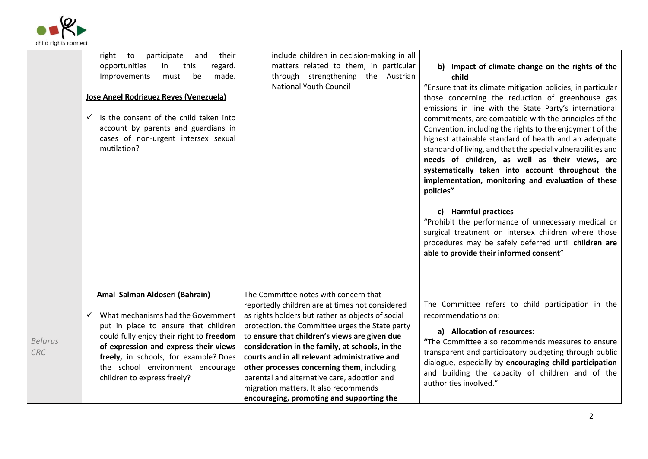

|                              | participate<br>and<br>their<br>right<br>to  | include children in decision-making in all        |                                                                                  |
|------------------------------|---------------------------------------------|---------------------------------------------------|----------------------------------------------------------------------------------|
|                              | opportunities<br>this<br>in<br>regard.      | matters related to them, in particular            | b) Impact of climate change on the rights of the                                 |
|                              | Improvements<br>be<br>made.<br>must         | through strengthening the Austrian                | child                                                                            |
|                              |                                             | <b>National Youth Council</b>                     | "Ensure that its climate mitigation policies, in particular                      |
|                              | Jose Angel Rodriguez Reyes (Venezuela)      |                                                   | those concerning the reduction of greenhouse gas                                 |
|                              |                                             |                                                   | emissions in line with the State Party's international                           |
|                              | Is the consent of the child taken into<br>✓ |                                                   | commitments, are compatible with the principles of the                           |
|                              | account by parents and guardians in         |                                                   | Convention, including the rights to the enjoyment of the                         |
|                              | cases of non-urgent intersex sexual         |                                                   | highest attainable standard of health and an adequate                            |
|                              | mutilation?                                 |                                                   | standard of living, and that the special vulnerabilities and                     |
|                              |                                             |                                                   | needs of children, as well as their views, are                                   |
|                              |                                             |                                                   | systematically taken into account throughout the                                 |
|                              |                                             |                                                   | implementation, monitoring and evaluation of these                               |
|                              |                                             |                                                   | policies"                                                                        |
|                              |                                             |                                                   |                                                                                  |
|                              |                                             |                                                   | c) Harmful practices                                                             |
|                              |                                             |                                                   | "Prohibit the performance of unnecessary medical or                              |
|                              |                                             |                                                   | surgical treatment on intersex children where those                              |
|                              |                                             |                                                   | procedures may be safely deferred until children are                             |
|                              |                                             |                                                   | able to provide their informed consent"                                          |
|                              |                                             |                                                   |                                                                                  |
|                              |                                             |                                                   |                                                                                  |
|                              |                                             |                                                   |                                                                                  |
|                              | Amal Salman Aldoseri (Bahrain)              | The Committee notes with concern that             |                                                                                  |
|                              |                                             | reportedly children are at times not considered   | The Committee refers to child participation in the                               |
|                              | What mechanisms had the Government          | as rights holders but rather as objects of social | recommendations on:                                                              |
|                              | put in place to ensure that children        | protection. the Committee urges the State party   |                                                                                  |
| <b>Belarus</b><br><b>CRC</b> | could fully enjoy their right to freedom    | to ensure that children's views are given due     | a) Allocation of resources:<br>"The Committee also recommends measures to ensure |
|                              | of expression and express their views       | consideration in the family, at schools, in the   |                                                                                  |
|                              | freely, in schools, for example? Does       | courts and in all relevant administrative and     | transparent and participatory budgeting through public                           |
|                              | the school environment encourage            | other processes concerning them, including        | dialogue, especially by encouraging child participation                          |
|                              | children to express freely?                 | parental and alternative care, adoption and       | and building the capacity of children and of the                                 |
|                              |                                             | migration matters. It also recommends             | authorities involved."                                                           |
|                              |                                             | encouraging, promoting and supporting the         |                                                                                  |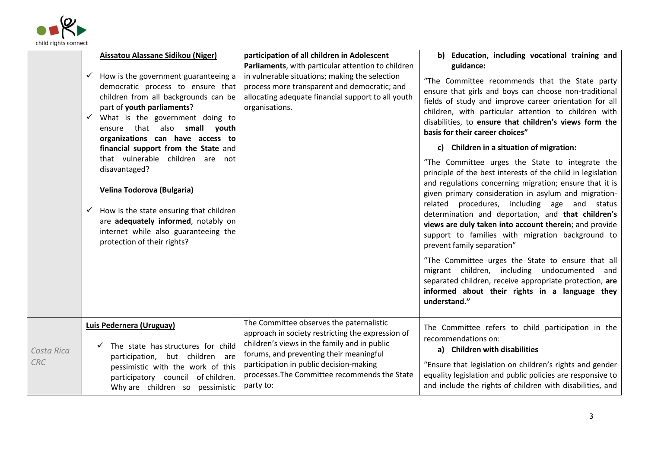

|                   | Aissatou Alassane Sidikou (Niger)<br>How is the government guaranteeing a<br>$\checkmark$<br>democratic process to ensure that<br>children from all backgrounds can be<br>part of youth parliaments?<br>What is the government doing to<br>$\checkmark$<br>ensure that also small youth<br>organizations can have access to<br>financial support from the State and | participation of all children in Adolescent<br>Parliaments, with particular attention to children<br>in vulnerable situations; making the selection<br>process more transparent and democratic; and<br>allocating adequate financial support to all youth<br>organisations.                       | b) Education, including vocational training and<br>guidance:<br>"The Committee recommends that the State party<br>ensure that girls and boys can choose non-traditional<br>fields of study and improve career orientation for all<br>children, with particular attention to children with<br>disabilities, to ensure that children's views form the<br>basis for their career choices"<br>c) Children in a situation of migration:                                                  |
|-------------------|---------------------------------------------------------------------------------------------------------------------------------------------------------------------------------------------------------------------------------------------------------------------------------------------------------------------------------------------------------------------|---------------------------------------------------------------------------------------------------------------------------------------------------------------------------------------------------------------------------------------------------------------------------------------------------|-------------------------------------------------------------------------------------------------------------------------------------------------------------------------------------------------------------------------------------------------------------------------------------------------------------------------------------------------------------------------------------------------------------------------------------------------------------------------------------|
|                   | that vulnerable children are not<br>disavantaged?<br>Velina Todorova (Bulgaria)<br>How is the state ensuring that children<br>✓<br>are adequately informed, notably on<br>internet while also guaranteeing the<br>protection of their rights?                                                                                                                       |                                                                                                                                                                                                                                                                                                   | "The Committee urges the State to integrate the<br>principle of the best interests of the child in legislation<br>and regulations concerning migration; ensure that it is<br>given primary consideration in asylum and migration-<br>related procedures, including age and status<br>determination and deportation, and that children's<br>views are duly taken into account therein; and provide<br>support to families with migration background to<br>prevent family separation" |
|                   |                                                                                                                                                                                                                                                                                                                                                                     |                                                                                                                                                                                                                                                                                                   | "The Committee urges the State to ensure that all<br>migrant children, including undocumented and<br>separated children, receive appropriate protection, are<br>informed about their rights in a language they<br>understand."                                                                                                                                                                                                                                                      |
| Costa Rica<br>CRC | Luis Pedernera (Uruguay)<br>$\checkmark$ The state has structures for child<br>participation, but children are<br>pessimistic with the work of this<br>participatory council of children.<br>Why are children so pessimistic                                                                                                                                        | The Committee observes the paternalistic<br>approach in society restricting the expression of<br>children's views in the family and in public<br>forums, and preventing their meaningful<br>participation in public decision-making<br>processes. The Committee recommends the State<br>party to: | The Committee refers to child participation in the<br>recommendations on:<br>a) Children with disabilities<br>"Ensure that legislation on children's rights and gender<br>equality legislation and public policies are responsive to<br>and include the rights of children with disabilities, and                                                                                                                                                                                   |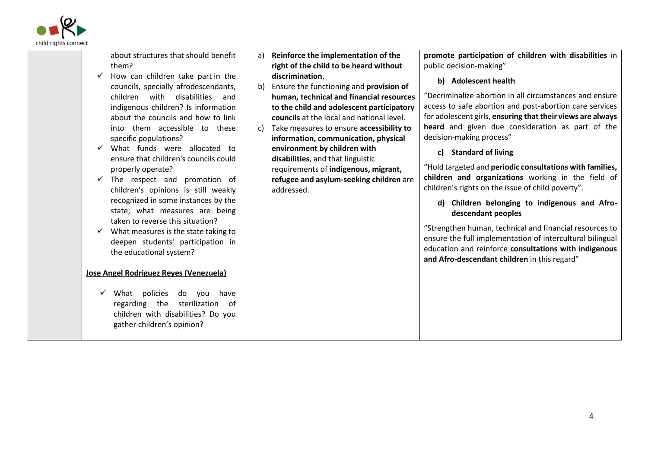

| about structures that should benefit<br>them?<br>How can children take part in the<br>councils, specially afrodescendants,<br>children<br>disabilities<br>with<br>and<br>indigenous children? Is information<br>about the councils and how to link<br>into them accessible to these<br>specific populations?<br>What funds were allocated to           | a)<br>b)<br>C) | Reinforce the implementation of the<br>right of the child to be heard without<br>discrimination,<br>Ensure the functioning and provision of<br>human, technical and financial resources<br>to the child and adolescent participatory<br>councils at the local and national level.<br>Take measures to ensure accessibility to<br>information, communication, physical<br>environment by children with | promote participation of children with disabilities in<br>public decision-making"<br>b) Adolescent health<br>"Decriminalize abortion in all circumstances and ensure<br>access to safe abortion and post-abortion care services<br>for adolescent girls, ensuring that their views are always<br>heard and given due consideration as part of the<br>decision-making process"                                                                                                                        |
|--------------------------------------------------------------------------------------------------------------------------------------------------------------------------------------------------------------------------------------------------------------------------------------------------------------------------------------------------------|----------------|-------------------------------------------------------------------------------------------------------------------------------------------------------------------------------------------------------------------------------------------------------------------------------------------------------------------------------------------------------------------------------------------------------|------------------------------------------------------------------------------------------------------------------------------------------------------------------------------------------------------------------------------------------------------------------------------------------------------------------------------------------------------------------------------------------------------------------------------------------------------------------------------------------------------|
| ensure that children's councils could<br>properly operate?<br>The respect and promotion of<br>children's opinions is still weakly<br>recognized in some instances by the<br>state; what measures are being<br>taken to reverse this situation?<br>What measures is the state taking to<br>deepen students' participation in<br>the educational system? |                | disabilities, and that linguistic<br>requirements of indigenous, migrant,<br>refugee and asylum-seeking children are<br>addressed.                                                                                                                                                                                                                                                                    | c) Standard of living<br>"Hold targeted and periodic consultations with families,<br>children and organizations working in the field of<br>children's rights on the issue of child poverty".<br>d) Children belonging to indigenous and Afro-<br>descendant peoples<br>"Strengthen human, technical and financial resources to<br>ensure the full implementation of intercultural bilingual<br>education and reinforce consultations with indigenous<br>and Afro-descendant children in this regard" |
| Jose Angel Rodriguez Reyes (Venezuela)<br>What policies<br>do you<br>have<br>regarding the sterilization of<br>children with disabilities? Do you<br>gather children's opinion?                                                                                                                                                                        |                |                                                                                                                                                                                                                                                                                                                                                                                                       |                                                                                                                                                                                                                                                                                                                                                                                                                                                                                                      |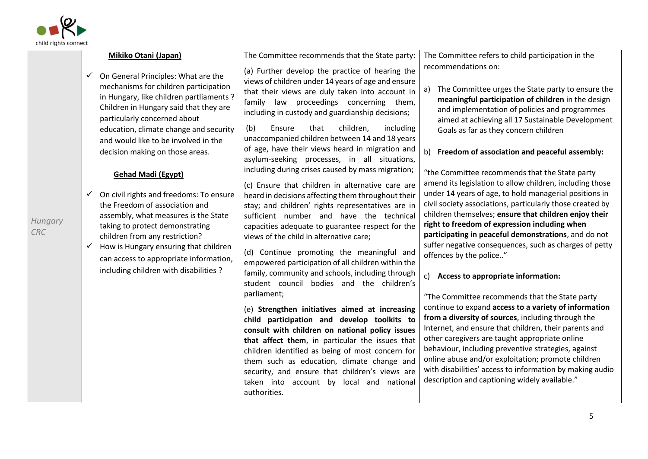

|                       | <b>Mikiko Otani (Japan)</b>                                                                                                                                                                                                                                                                                                                                                                                                                                                                                                                                                                                                                                                                                                | The Committee recommends that the State party:                                                                                                                                                                                                                                                                                                                                                                                                                                                                                                                                                                                                                                                                                                                                                                                                                                                                                                                                                                                                                                                                                                                                                                                                                                                                                                                                                                                                                           | The Committee refers to child participation in the                                                                                                                                                                                                                                                                                                                                                                                                                                                                                                                                                                                                                                                                                                                                                                                                                                                                                                                                                                                                                                                                                                                                                                                                                                                                                                                                                   |
|-----------------------|----------------------------------------------------------------------------------------------------------------------------------------------------------------------------------------------------------------------------------------------------------------------------------------------------------------------------------------------------------------------------------------------------------------------------------------------------------------------------------------------------------------------------------------------------------------------------------------------------------------------------------------------------------------------------------------------------------------------------|--------------------------------------------------------------------------------------------------------------------------------------------------------------------------------------------------------------------------------------------------------------------------------------------------------------------------------------------------------------------------------------------------------------------------------------------------------------------------------------------------------------------------------------------------------------------------------------------------------------------------------------------------------------------------------------------------------------------------------------------------------------------------------------------------------------------------------------------------------------------------------------------------------------------------------------------------------------------------------------------------------------------------------------------------------------------------------------------------------------------------------------------------------------------------------------------------------------------------------------------------------------------------------------------------------------------------------------------------------------------------------------------------------------------------------------------------------------------------|------------------------------------------------------------------------------------------------------------------------------------------------------------------------------------------------------------------------------------------------------------------------------------------------------------------------------------------------------------------------------------------------------------------------------------------------------------------------------------------------------------------------------------------------------------------------------------------------------------------------------------------------------------------------------------------------------------------------------------------------------------------------------------------------------------------------------------------------------------------------------------------------------------------------------------------------------------------------------------------------------------------------------------------------------------------------------------------------------------------------------------------------------------------------------------------------------------------------------------------------------------------------------------------------------------------------------------------------------------------------------------------------------|
| Hungary<br><b>CRC</b> | On General Principles: What are the<br>$\checkmark$<br>mechanisms for children participation<br>in Hungary, like children partliaments?<br>Children in Hungary said that they are<br>particularly concerned about<br>education, climate change and security<br>and would like to be involved in the<br>decision making on those areas.<br><b>Gehad Madi (Egypt)</b><br>On civil rights and freedoms: To ensure<br>$\checkmark$<br>the Freedom of association and<br>assembly, what measures is the State<br>taking to protect demonstrating<br>children from any restriction?<br>How is Hungary ensuring that children<br>$\checkmark$<br>can access to appropriate information,<br>including children with disabilities ? | (a) Further develop the practice of hearing the<br>views of children under 14 years of age and ensure<br>that their views are duly taken into account in<br>family law proceedings concerning them,<br>including in custody and guardianship decisions;<br>(b)<br>children,<br>Ensure<br>that<br>including<br>unaccompanied children between 14 and 18 years<br>of age, have their views heard in migration and<br>asylum-seeking processes, in all situations,<br>including during crises caused by mass migration;<br>(c) Ensure that children in alternative care are<br>heard in decisions affecting them throughout their<br>stay; and children' rights representatives are in<br>sufficient number and have the technical<br>capacities adequate to guarantee respect for the<br>views of the child in alternative care;<br>(d) Continue promoting the meaningful and<br>empowered participation of all children within the<br>family, community and schools, including through<br>student council bodies and the children's<br>parliament;<br>(e) Strengthen initiatives aimed at increasing<br>child participation and develop toolkits to<br>consult with children on national policy issues<br>that affect them, in particular the issues that<br>children identified as being of most concern for<br>them such as education, climate change and<br>security, and ensure that children's views are<br>taken into account by local and national<br>authorities. | recommendations on:<br>The Committee urges the State party to ensure the<br>a)<br>meaningful participation of children in the design<br>and implementation of policies and programmes<br>aimed at achieving all 17 Sustainable Development<br>Goals as far as they concern children<br>Freedom of association and peaceful assembly:<br>b)<br>"the Committee recommends that the State party<br>amend its legislation to allow children, including those<br>under 14 years of age, to hold managerial positions in<br>civil society associations, particularly those created by<br>children themselves; ensure that children enjoy their<br>right to freedom of expression including when<br>participating in peaceful demonstrations, and do not<br>suffer negative consequences, such as charges of petty<br>offences by the police"<br>Access to appropriate information:<br>$\mathsf{c}$ )<br>"The Committee recommends that the State party<br>continue to expand access to a variety of information<br>from a diversity of sources, including through the<br>Internet, and ensure that children, their parents and<br>other caregivers are taught appropriate online<br>behaviour, including preventive strategies, against<br>online abuse and/or exploitation; promote children<br>with disabilities' access to information by making audio<br>description and captioning widely available." |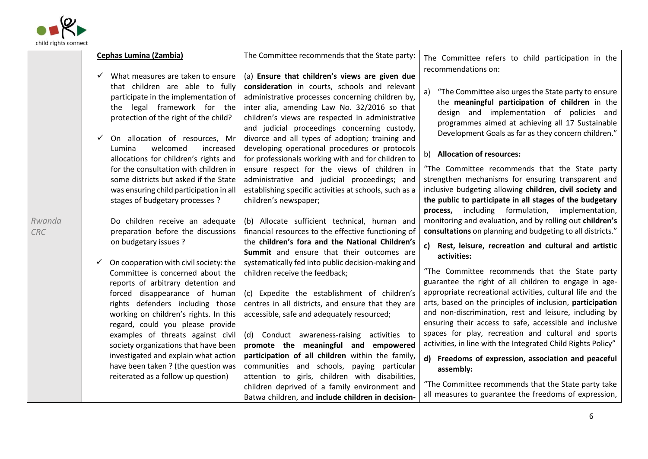

|                      | <b>Cephas Lumina (Zambia)</b>                                                                                                                                                                                                                                                                                                                                                                                                  | The Committee recommends that the State party:                                                                                                                                                                                                                                                                                                                                                                                    | The Committee refers to child participation in the                                                                                                                                                                                                                                                                                                                                                                                                                                                                                                 |
|----------------------|--------------------------------------------------------------------------------------------------------------------------------------------------------------------------------------------------------------------------------------------------------------------------------------------------------------------------------------------------------------------------------------------------------------------------------|-----------------------------------------------------------------------------------------------------------------------------------------------------------------------------------------------------------------------------------------------------------------------------------------------------------------------------------------------------------------------------------------------------------------------------------|----------------------------------------------------------------------------------------------------------------------------------------------------------------------------------------------------------------------------------------------------------------------------------------------------------------------------------------------------------------------------------------------------------------------------------------------------------------------------------------------------------------------------------------------------|
|                      | $\checkmark$ What measures are taken to ensure                                                                                                                                                                                                                                                                                                                                                                                 | (a) Ensure that children's views are given due                                                                                                                                                                                                                                                                                                                                                                                    | recommendations on:                                                                                                                                                                                                                                                                                                                                                                                                                                                                                                                                |
|                      | that children are able to fully<br>participate in the implementation of<br>legal framework for the<br>the<br>protection of the right of the child?                                                                                                                                                                                                                                                                             | consideration in courts, schools and relevant<br>administrative processes concerning children by,<br>inter alia, amending Law No. 32/2016 so that<br>children's views are respected in administrative<br>and judicial proceedings concerning custody,                                                                                                                                                                             | "The Committee also urges the State party to ensure<br>a)<br>the meaningful participation of children in the<br>design and implementation of policies and<br>programmes aimed at achieving all 17 Sustainable<br>Development Goals as far as they concern children."                                                                                                                                                                                                                                                                               |
|                      | On allocation of resources, Mr<br>$\checkmark$<br>Lumina<br>welcomed<br>increased<br>allocations for children's rights and                                                                                                                                                                                                                                                                                                     | divorce and all types of adoption; training and<br>developing operational procedures or protocols<br>for professionals working with and for children to                                                                                                                                                                                                                                                                           | <b>Allocation of resources:</b><br>b)                                                                                                                                                                                                                                                                                                                                                                                                                                                                                                              |
|                      | for the consultation with children in<br>some districts but asked if the State<br>was ensuring child participation in all<br>stages of budgetary processes ?                                                                                                                                                                                                                                                                   | ensure respect for the views of children in<br>administrative and judicial proceedings; and<br>establishing specific activities at schools, such as a<br>children's newspaper;                                                                                                                                                                                                                                                    | "The Committee recommends that the State party<br>strengthen mechanisms for ensuring transparent and<br>inclusive budgeting allowing children, civil society and<br>the public to participate in all stages of the budgetary<br>process, including formulation, implementation,                                                                                                                                                                                                                                                                    |
| Rwanda<br><b>CRC</b> | Do children receive an adequate<br>preparation before the discussions                                                                                                                                                                                                                                                                                                                                                          | (b) Allocate sufficient technical, human and<br>financial resources to the effective functioning of                                                                                                                                                                                                                                                                                                                               | monitoring and evaluation, and by rolling out children's<br>consultations on planning and budgeting to all districts."                                                                                                                                                                                                                                                                                                                                                                                                                             |
|                      | on budgetary issues ?                                                                                                                                                                                                                                                                                                                                                                                                          | the children's fora and the National Children's<br>Summit and ensure that their outcomes are                                                                                                                                                                                                                                                                                                                                      | c)<br>Rest, leisure, recreation and cultural and artistic<br>activities:                                                                                                                                                                                                                                                                                                                                                                                                                                                                           |
|                      | On cooperation with civil society: the<br>Committee is concerned about the<br>reports of arbitrary detention and<br>forced disappearance of human<br>rights defenders including those<br>working on children's rights. In this<br>regard, could you please provide<br>examples of threats against civil<br>society organizations that have been<br>investigated and explain what action<br>have been taken ? (the question was | systematically fed into public decision-making and<br>children receive the feedback;<br>(c) Expedite the establishment of children's<br>centres in all districts, and ensure that they are<br>accessible, safe and adequately resourced;<br>(d) Conduct awareness-raising activities to<br>promote the meaningful and empowered<br>participation of all children within the family,<br>communities and schools, paying particular | "The Committee recommends that the State party<br>guarantee the right of all children to engage in age-<br>appropriate recreational activities, cultural life and the<br>arts, based on the principles of inclusion, participation<br>and non-discrimination, rest and leisure, including by<br>ensuring their access to safe, accessible and inclusive<br>spaces for play, recreation and cultural and sports<br>activities, in line with the Integrated Child Rights Policy"<br>$\mathsf{d}$<br>Freedoms of expression, association and peaceful |
|                      | reiterated as a follow up question)                                                                                                                                                                                                                                                                                                                                                                                            | attention to girls, children with disabilities,<br>children deprived of a family environment and<br>Batwa children, and include children in decision-                                                                                                                                                                                                                                                                             | assembly:<br>"The Committee recommends that the State party take<br>all measures to guarantee the freedoms of expression,                                                                                                                                                                                                                                                                                                                                                                                                                          |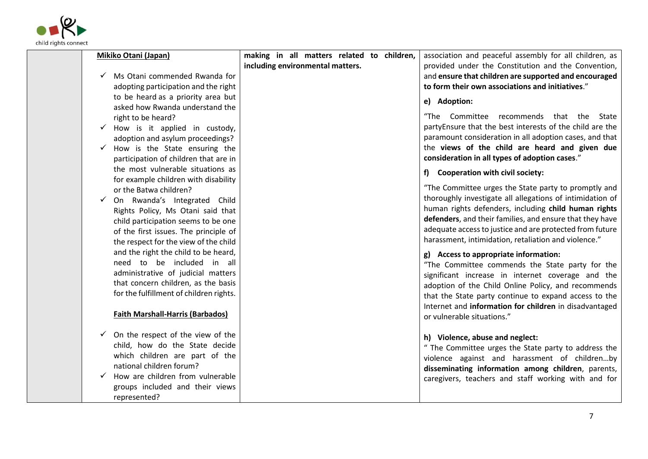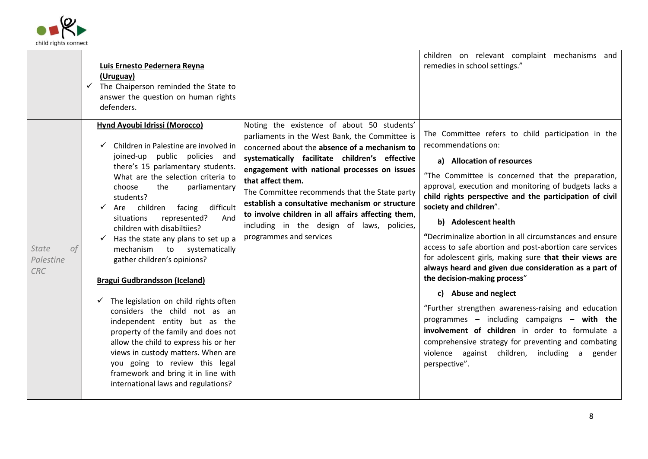

|                                        | Luis Ernesto Pedernera Reyna<br>(Uruguay)<br>The Chaiperson reminded the State to<br>✓<br>answer the question on human rights<br>defenders.                                                                                                                                                                                                                                                                                                                                                                                                                                                                                                                                                                                                                                                                                                                          |                                                                                                                                                                                                                                                                                                                                                                                                                                                                                                         | children on relevant complaint mechanisms and<br>remedies in school settings."                                                                                                                                                                                                                                                                                                                                                                                                                                                                                                                                                                                                                                                                                                                                                                                                                                               |
|----------------------------------------|----------------------------------------------------------------------------------------------------------------------------------------------------------------------------------------------------------------------------------------------------------------------------------------------------------------------------------------------------------------------------------------------------------------------------------------------------------------------------------------------------------------------------------------------------------------------------------------------------------------------------------------------------------------------------------------------------------------------------------------------------------------------------------------------------------------------------------------------------------------------|---------------------------------------------------------------------------------------------------------------------------------------------------------------------------------------------------------------------------------------------------------------------------------------------------------------------------------------------------------------------------------------------------------------------------------------------------------------------------------------------------------|------------------------------------------------------------------------------------------------------------------------------------------------------------------------------------------------------------------------------------------------------------------------------------------------------------------------------------------------------------------------------------------------------------------------------------------------------------------------------------------------------------------------------------------------------------------------------------------------------------------------------------------------------------------------------------------------------------------------------------------------------------------------------------------------------------------------------------------------------------------------------------------------------------------------------|
| <b>State</b><br>ОŤ<br>Palestine<br>CRC | <b>Hynd Ayoubi Idrissi (Morocco)</b><br>Children in Palestine are involved in<br>joined-up public policies and<br>there's 15 parlamentary students.<br>What are the selection criteria to<br>choose<br>the<br>parliamentary<br>students?<br>difficult<br>children facing<br>Are<br>represented?<br>situations<br>And<br>children with disabiltiies?<br>Has the state any plans to set up a<br>mechanism<br>to<br>systematically<br>gather children's opinions?<br><b>Bragui Gudbrandsson (Iceland)</b><br>$\checkmark$ The legislation on child rights often<br>considers the child not as an<br>independent entity but as the<br>property of the family and does not<br>allow the child to express his or her<br>views in custody matters. When are<br>you going to review this legal<br>framework and bring it in line with<br>international laws and regulations? | Noting the existence of about 50 students'<br>parliaments in the West Bank, the Committee is<br>concerned about the absence of a mechanism to<br>systematically facilitate children's effective<br>engagement with national processes on issues<br>that affect them.<br>The Committee recommends that the State party<br>establish a consultative mechanism or structure<br>to involve children in all affairs affecting them,<br>including in the design of laws, policies,<br>programmes and services | The Committee refers to child participation in the<br>recommendations on:<br>a) Allocation of resources<br>"The Committee is concerned that the preparation,<br>approval, execution and monitoring of budgets lacks a<br>child rights perspective and the participation of civil<br>society and children".<br>b) Adolescent health<br>"Decriminalize abortion in all circumstances and ensure<br>access to safe abortion and post-abortion care services<br>for adolescent girls, making sure that their views are<br>always heard and given due consideration as a part of<br>the decision-making process"<br>c) Abuse and neglect<br>"Further strengthen awareness-raising and education<br>programmes $-$ including campaigns $-$ with the<br>involvement of children in order to formulate a<br>comprehensive strategy for preventing and combating<br>violence against children, including a<br>gender<br>perspective". |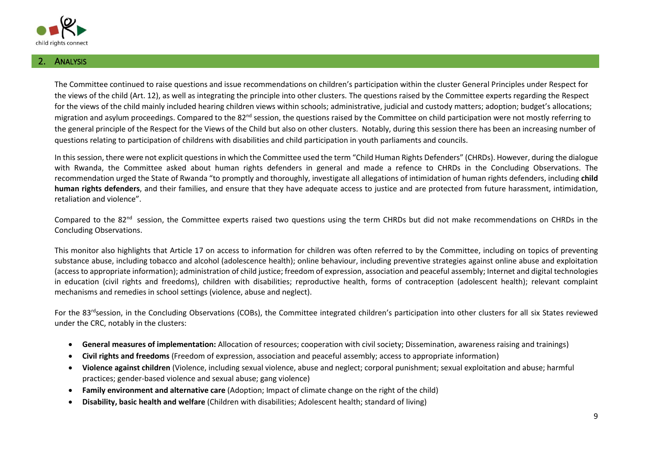

#### **ANALYSIS**

The Committee continued to raise questions and issue recommendations on children's participation within the cluster General Principles under Respect for the views of the child (Art. 12), as well as integrating the principle into other clusters. The questions raised by the Committee experts regarding the Respect for the views of the child mainly included hearing children views within schools; administrative, judicial and custody matters; adoption; budget's allocations; migration and asylum proceedings. Compared to the 82<sup>nd</sup> session, the questions raised by the Committee on child participation were not mostly referring to the general principle of the Respect for the Views of the Child but also on other clusters. Notably, during this session there has been an increasing number of questions relating to participation of childrens with disabilities and child participation in youth parliaments and councils.

In this session, there were not explicit questionsin which the Committee used the term "Child Human Rights Defenders" (CHRDs). However, during the dialogue with Rwanda, the Committee asked about human rights defenders in general and made a refence to CHRDs in the Concluding Observations. The recommendation urged the State of Rwanda "to promptly and thoroughly, investigate all allegations of intimidation of human rights defenders, including **child human rights defenders**, and their families, and ensure that they have adequate access to justice and are protected from future harassment, intimidation, retaliation and violence".

Compared to the 82<sup>nd</sup> session, the Committee experts raised two questions using the term CHRDs but did not make recommendations on CHRDs in the Concluding Observations.

This monitor also highlights that Article 17 on access to information for children was often referred to by the Committee, including on topics of preventing substance abuse, including tobacco and alcohol (adolescence health); online behaviour, including preventive strategies against online abuse and exploitation (access to appropriate information); administration of child justice; freedom of expression, association and peaceful assembly; Internet and digital technologies in education (civil rights and freedoms), children with disabilities; reproductive health, forms of contraception (adolescent health); relevant complaint mechanisms and remedies in school settings (violence, abuse and neglect).

For the 83<sup>rd</sup>session, in the Concluding Observations (COBs), the Committee integrated children's participation into other clusters for all six States reviewed under the CRC, notably in the clusters:

- **General measures of implementation:** Allocation of resources; cooperation with civil society; Dissemination, awareness raising and trainings)
- **Civil rights and freedoms** (Freedom of expression, association and peaceful assembly; access to appropriate information)
- **Violence against children** (Violence, including sexual violence, abuse and neglect; corporal punishment; sexual exploitation and abuse; harmful practices; gender-based violence and sexual abuse; gang violence)
- **Family environment and alternative care** (Adoption; Impact of climate change on the right of the child)
- **Disability, basic health and welfare** (Children with disabilities; Adolescent health; standard of living)